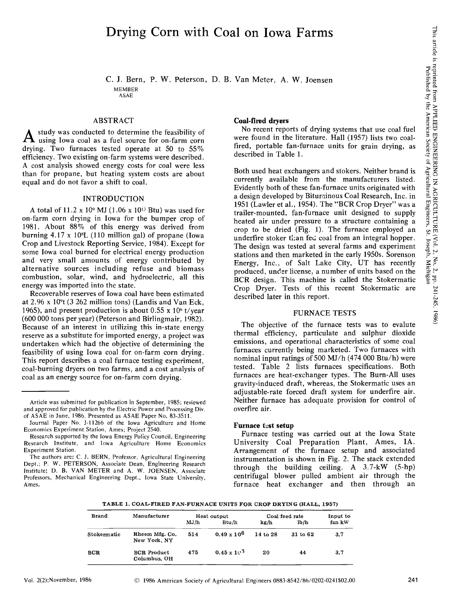# Drying Corn with Coal on Iowa Farms

C. J. Bern, P. W. Peterson, D. B. Van Meter, A. W. Joensen MEMBER ASAE

# ABSTRACT

A study was conducted to determine the feasibility of using Iowa coal as a fuel source for on-farm corn drying. Two furnaces tested operate at 50 to 55% efficiency. Two existing on-farm systems were described. A cost analysis showed energy costs for coal were less than for propane, but heating system costs are about equal and do not favor a shift to coal.

# INTRODUCTION

A total of  $11.2 \times 10^9$  MJ (1.06 x  $10^{13}$  Btu) was used for on-farm corn drying in Iowa for the bumper crop of 1981. About 88% of this energy was derived from burning  $4.17 \times 10^{8}$ L (110 million gal) of propane (Iowa Crop and Livestock Reporting Service, 1984). Except for some Iowa coal burned for electrical energy production and very small amounts of energy contributed by alternative sources including refuse and biomass combustion, solar, wind, and hydroelectric, all this energy was imported into the state.

Recoverable reserves of Iowa coal have been estimated at 2.96 x 10<sup>9</sup> t (3 262 million tons) (Landis and Van Eck, 1965), and present production is about 0.55 x 10<sup>6</sup> t/year (600 000 tons per year) (Peterson and Birlingmair, 1982). Because of an interest in utilizing this in-state energy reserve as a substitute for imported energy, a project was undertaken which had the objective of determining the feasibility of using Iowa coal for on-farm corn drying. This report describes a coal furnace testing experiment, coal-burning dryers on two farms, and a cost analysis of coal as an energy source for on-farm corn drying.

# **Coal-fired dryers**

No recent reports of drying systems that use coal fuel were found in the literature. Hall (1957) lists two coalfired, portable fan-furnace units for grain drying, as described in Table 1.

Both used heat exchangers and stokers. Neither brand is currently available from the manufacturers listed. Evidently both of these fan-furnace units originated with a design developed by Bituminous Coal Research, Inc. in 1951 (Lawler et al., 1954). The "BCR Crop Dryer'' was a trailer-mounted, fan-furnace unit designed to supply heated air under pressure to a structure containing a crop to be dried (Fig. 1). The furnace employed an underfire stoker tlian fed coal from an integral hopper. The design was tested at several farms and experiment stations and then marketed in the early 1950s. Sorenson Energy, Inc., of Salt Lake City, UT has recently produced, under license, a number of units based on the BCR design. This machine is called the Stokermatic Crop Dryer. Tests of this recent Stokermatic are described later in this report.

## FURNACE TESTS

The objective of the furnace tests was to evalute thermal efficiency, particulate and sulphur dioxide emissions, and operational characteristics of some coal furnaces currently being marketed. Two furnaces with nominal input ratings of 500 MJ/h (474 000 Btu/h) were tested. Table 2 lists furnaces specifications. Both furnaces are heat-exchanger types. The Burn-All uses gravity-induced draft, whereas, the Stokermatic uses an adjustable-rate forced draft system for underfire air. Neither furnace has adequate provision for control of overfire air.

## **Furnace test setup**

Furnace testing was carried out at the Iowa State University Coal Preparation Plant, Ames, IA. Arrangement of the furnace setup and associated instrumentation is shown in Fig. 2. The stack extended through the building ceiling.  $A = 3.7 \text{-kW}$  (5-hp) centrifugal blower pulled ambient air through the furnace heat exchanger and then through an

| TABLE 1. COAL-FIRED FAN-FURNACE UNITS FOR CROP DRYING (HALL, 1957) |  |
|--------------------------------------------------------------------|--|
|--------------------------------------------------------------------|--|

| <b>Brand</b> | Manufacturer                       | Heat output |                      | Coal feed rate |                   | Input to |  |
|--------------|------------------------------------|-------------|----------------------|----------------|-------------------|----------|--|
|              |                                    | MJ/h        | Btu /h               | kg/h           | 1 <sub>b</sub> /h | fan kW   |  |
| Stokermatic  | Rheem Mfg. Co.<br>New York, NY     | 514         | $0.49 \times 10^6$   | 14 to 28       | 31 to 62          | 3.7      |  |
| <b>BCR</b>   | <b>BCR</b> Product<br>Columbus, OH | 475         | $0.45 \times 10^{3}$ | 20             | 44                | 3.7      |  |

Article was submitted for publication in September, 1985; reviewed and approved for publication by the Electric Power and Processing Div. of ASAE in June, 1986. Presented as ASAE Paper No. 83-3511.

Journal Paper No. J-11266 of the Iowa Agriculture and Home Economics Experiment Station, Ames; Project 2540.

Research supported by the Iowa Energy Policy Council, Engineering Research Institute, and Iowa Agriculture Home Economics Experiment Station.

The authors are: C. J. BERN, Professor, Agricultural Engineering Dept.; P. W. PETERSON, Associate Dean, Engineering Research Institute; D. B. VAN METER and A. W. JOENSEN, Associate Professors, Mechanical Engineering Dept., Iowa State University, Ames.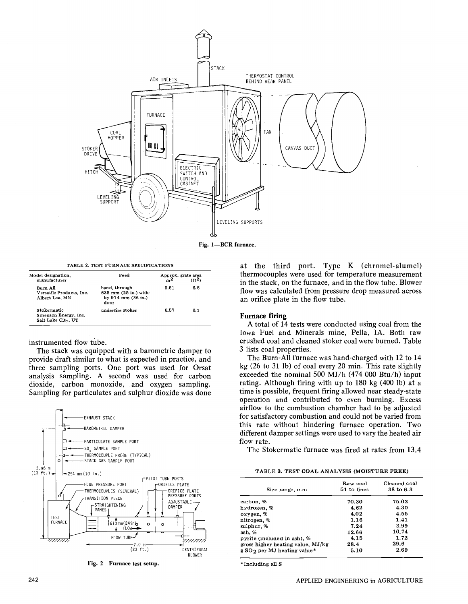



| Model designation.<br>manufacturer                         | Feed                                                                                  | Approx, grate area<br>m <sup>2</sup> | $(ft^2)$ |
|------------------------------------------------------------|---------------------------------------------------------------------------------------|--------------------------------------|----------|
| Burn-All<br>Versatile Products, Inc.<br>Albert Lea. MN     | hand, through<br>635 mm (25 in.) wide<br>by $914 \text{ mm} (36 \text{ in.})$<br>door | 0.61                                 | 6.6      |
| Stokermatic<br>Sorenson Energy, Inc.<br>Salt Lake City, UT | underfire stoker                                                                      | 0.57                                 | 6.1      |

instrumented flow tube.

The stack was equipped with a barometric damper to provide draft similar to what is expected in practice, and three sampling ports. One port was used for Orsat analysis sampling. A second was used for carbon dioxide, carbon monoxide, and oxygen sampling. Sampling for particulates and sulphur dioxide was done



**Fig. 2**—**Furnace test setup.** 

at the third port. Type K (chromel-alumel) thermocouples were used for temperature measurement in the stack, on the furnace, and in the flow tube. Blower flow was calculated from pressure drop measured across an orifice plate in the flow tube.

#### **Furnace firing**

A total of 14 tests were conducted using coal from the Iowa Fuel and Minerals mine, Pella, IA. Both raw crushed coal and cleaned stoker coal were burned. Table 3 lists coal properties.

The Burn-All furnace was hand-charged with 12 to 14 kg (26 to 31 lb) of coal every 20 min. This rate slightly exceeded the nominal 500 MJ/h (474 000 Btu/h) input rating. Although firing with up to 180 kg (400 lb) at a time is possible, frequent firing allowed near steady-state operation and contributed to even burning. Excess airflow to the combustion chamber had to be adjusted for satisfactory combustion and could not be varied from this rate without hindering furnace operation. Two different damper settings were used to vary the heated air flow rate.

The Stokermatic furnace was fired at rates from 13.4

|  |  |  | TABLE 3. TEST COAL ANALYSIS (MOISTURE FREE) |
|--|--|--|---------------------------------------------|
|--|--|--|---------------------------------------------|

| Size range, mm                          | Raw coal<br>51 to fines | Cleaned coal<br>38 to 6.3 |
|-----------------------------------------|-------------------------|---------------------------|
| carbon, %                               | 70.30                   | 75.02                     |
| hvdrogen. %                             | 4.62                    | 4.30                      |
| oxygen. %                               | 4.02                    | 4.55                      |
| nitrogen, %                             | 1.16                    | 1.41                      |
| sulphur. %                              | 7.24                    | 3.99                      |
| ash. %                                  | 12.66                   | 10.74                     |
| pyrite (included in ash), %             | 4.15                    | 1.72                      |
| gross higher heating value, MJ/kg       | 28.4                    | 29.6                      |
| g SO <sub>2</sub> per MJ heating value* | 5.10                    | 2.69                      |
|                                         |                         |                           |

\* Including all S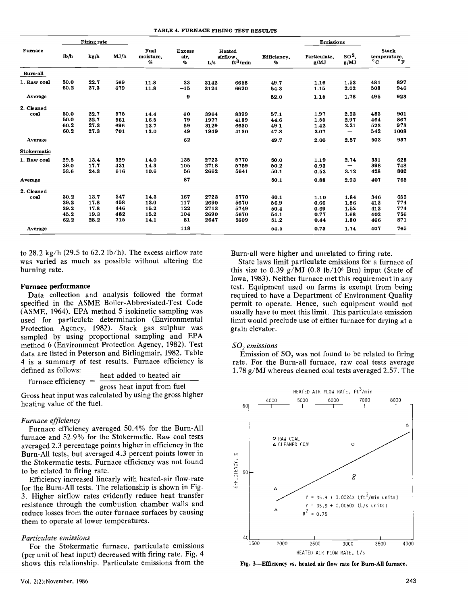|  | TABLE 4. FURNACE FIRING TEST RESULTS |  |  |  |
|--|--------------------------------------|--|--|--|
|--|--------------------------------------|--|--|--|

| Firing rate        |                                      |                                      |                                 |                                      |                                |                                      |                                      |                                      | Emissions                            |                                          |                                 |                                              |
|--------------------|--------------------------------------|--------------------------------------|---------------------------------|--------------------------------------|--------------------------------|--------------------------------------|--------------------------------------|--------------------------------------|--------------------------------------|------------------------------------------|---------------------------------|----------------------------------------------|
| Furnace            | 1 <sub>b</sub> / <sub>b</sub>        | kg/h                                 | MJ/h                            | Fuel<br>moisture.<br>%               | <b>Excess</b><br>air,<br>%     | L/s                                  | Heated<br>airflow,<br>$ft^3/min$     | Efficiency,<br>%                     | Particulate.<br>g/MJ                 | $so2$ .<br>g/MJ                          | °c                              | <b>Stack</b><br>temperature.<br>$^{\circ}$ F |
| <b>Burn-all</b>    |                                      |                                      |                                 |                                      |                                |                                      |                                      |                                      |                                      |                                          |                                 |                                              |
| 1. Raw coal        | 50.0<br>60.2                         | 22.7<br>27.3                         | 569<br>679                      | 11.8<br>11.8                         | 33<br>$-15$                    | 3142<br>3124                         | 6658<br>6620                         | 49.7<br>54.3                         | 1.16<br>1.15                         | 1.53<br>2.02                             | 481<br>508                      | 897<br>946                                   |
| Average            |                                      |                                      |                                 |                                      | 9                              |                                      |                                      | 52.0                                 | 1.15                                 | 1.78                                     | 495                             | 923                                          |
| 2. Cleaned         |                                      |                                      |                                 |                                      |                                |                                      |                                      |                                      |                                      |                                          |                                 |                                              |
| coal               | 50.0<br>50.0<br>60.2<br>60.2         | 22.7<br>22.7<br>27.3<br>27.3         | 575<br>561<br>696<br>701        | 14.4<br>16.5<br>13.7<br>13.0         | 60<br>79<br>59<br>49           | 3964<br>1977<br>3129<br>1949         | 8399<br>4189<br>6630<br>4130         | 57.1<br>44.6<br>49.1<br>47.8         | 1.97<br>1.55<br>1.42<br>3.07         | 2.53<br>2.97<br>2.21<br>--               | 483<br>464<br>523<br>542        | 901<br>867<br>973<br>1008                    |
| Average            |                                      |                                      |                                 |                                      | 62                             |                                      |                                      | 49.7                                 | 2.00                                 | 2.57                                     | 503                             | 937                                          |
| Stokermatic        |                                      |                                      |                                 |                                      |                                |                                      |                                      |                                      |                                      |                                          |                                 |                                              |
| 1. Raw coal        | 29.5<br>39.0<br>53.6                 | 13.4<br>17.7<br>24.3                 | 329<br>431<br>616               | 14.0<br>14.3<br>10.6                 | 135<br>105<br>56               | 2723<br>2718<br>2662                 | 5770<br>5759<br>5641                 | 50.0<br>50.2<br>50.1                 | 1.19<br>0.93<br>0.53                 | 2.74<br>$\overline{\phantom{m}}$<br>3.12 | 331<br>398<br>428               | 628<br>748<br>802                            |
| Average            |                                      |                                      |                                 |                                      | 87                             |                                      |                                      | 50.1                                 | 0.88                                 | 2.93                                     | 407                             | 765                                          |
| 2. Cleaned<br>coal | 30.2<br>39.2<br>39.2<br>45.2<br>62.2 | 13.7<br>17.8<br>17.8<br>19.3<br>28.2 | 347<br>458<br>446<br>482<br>715 | 14.3<br>13.0<br>15.2<br>15.2<br>14.1 | 167<br>117<br>122<br>104<br>81 | 2723<br>2690<br>2713<br>2690<br>2647 | 5770<br>5670<br>5749<br>5670<br>5609 | 60.1<br>56.9<br>50.4<br>54.1<br>51.2 | 1.10<br>0.66<br>0.69<br>0.77<br>0.44 | 1.84<br>1.86<br>1.52<br>1.68<br>1.80     | 346<br>412<br>412<br>402<br>466 | 655<br>774<br>774<br>756<br>871              |
| Average            |                                      |                                      |                                 |                                      | 118                            |                                      |                                      | 54.5                                 | 0.73                                 | 1.74                                     | 407                             | 765                                          |

to  $28.2 \text{ kg/h}$  (29.5 to  $62.2 \text{ lb/h}$ ). The excess airflow rate was varied as much as possible without altering the burning rate.

## **Furnace performance**

Data collection and analysis followed the format specified in the ASME Boiler-Abbreviated-Test Code (ASME, 1964). EPA method 5 isokinetic sampling was used for particulate determination (Environmental Protection Agency, 1982). Stack gas sulphur was sampled by using proportional sampling and EPA method 6 (Environment Protection Agency, 1982). Test data are listed in Peterson and Birlingmair, 1982. Table 4 is a summary of test results. Furnace efficiency is defined as follows:

$$
eta
$$
 efficiency = heat added to heated air

 $f(x)$  arrives express the extension pross heat input from fuel

Gross heat input was calculated by using the gross higher heating value of the fuel.

## *Furnace efficiency*

Furnace efficiency averaged 50.4% for the Burn-All furnace and 52.9% for the Stokermatic. Raw coal tests averaged 2.3 percentage points higher in efficiency in the Burn-All tests, but averaged 4.3 percent points lower in the Stokermatic tests. Furnace efficiency was not found to be related to firing rate.

Efficiency increased linearly with heated-air flow-rate for the Burn-All tests. The relationship is shown in Fig. 3. Higher airflow rates evidently reduce heat transfer resistance through the combustion chamber walls and reduce losses from the outer furnace surfaces by causing them to operate at lower temperatures.

#### *Particulate emissions*

For the Stokermatic furnace, particulate emissions (per unit of heat input) decreased with firing rate. Fig. 4 shows this relationship. Particulate emissions from the Burn-all were higher and unrelated to firing rate.

State laws limit particulate emissions for a furnace of this size to 0.39  $g/MJ$  (0.8 lb/10<sup>6</sup> Btu) input (State of Iowa, 1983). Neither furnace met this requirement in any test. Equipment used on farms is exempt from being required to have a Department of Environment Quality permit to operate. Hence, such equipment would not usually have to meet this limit. This particulate emission limit would preclude use of either furnace for drying at a grain elevator.

# *SO2 emissions*

Emission of  $SO<sub>2</sub>$  was not found to be related to firing rate. For the Burn-all furnace, raw coal tests average 1.78 g/MJ whereas cleaned coal tests averaged 2.57. The



**Fig. 3—Efficiency vs. heated air flow rate for Burn-All furnace.**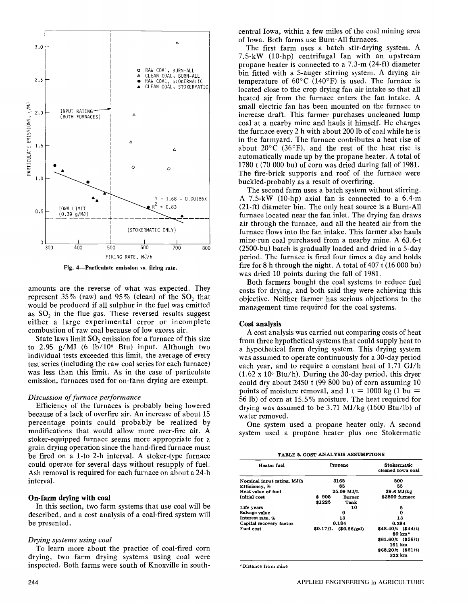

**Fig. 4—Particulate emission vs. firing rate.** 

amounts are the reverse of what was expected. They represent  $35\%$  (raw) and  $95\%$  (clean) of the SO<sub>2</sub> that would be produced if all sulphur in the fuel was emitted as  $SO<sub>2</sub>$  in the flue gas. These reversed results suggest either a large experimental error or incomplete combustion of raw coal because of low excess air.

State laws limit  $SO<sub>2</sub>$  emission for a furnace of this size to 2.95 g/MJ (6 lb/10<sup>6</sup> Btu) input. Although two individual tests exceeded this limit, the average of every test series (including the raw coal series for each furnace) was less than this limit. As in the case of particulate emission, furnaces used for on-farm drying are exempt.

## *Discussion of furnace performance*

Efficiency of the furnaces is probably being lowered because of a lack of overfire air. An increase of about 15 percentage points could probably be realized by modifications that would allow more over-fire air. A stoker-equipped furnace seems more appropriate for a grain drying operation since the hand-fired furnace must be fired on a 1-to 2-h interval. A stoker-type furnace could operate for several days without resupply of fuel. Ash removal is required for each furnace on about a 24-h interval.

# **On-farm drying with coal**

In this section, two farm systems that use coal will be described, and a cost analysis of a coal-fired system will be presented.

## *Drying systems using coal*

To learn more about the practice of coal-fired corn drying, two farm drying systems using coal were inspected. Both farms were south of Knoxville in southcentral Iowa, within a few miles of the coal mining area of Iowa. Both farms use Burn-All furnaces.

The first farm uses a batch stir-drying system. A 7.5-kW (10-hp) centrifugal fan with an upstream propane heater is connected to a 7.3-m (24-ft) diameter bin fitted with a 5-auger stirring system. A drying air temperature of  $60^{\circ}$ C (140°F) is used. The furnace is located close to the crop drying fan air intake so that all heated air from the furnace enters the fan intake. A small electric fan has been mounted on the furnace to increase draft. This farmer purchases uncleaned lump coal at a nearby mine and hauls it himself. He charges the furnace every 2 h with about 200 lb of coal while he is in the farmyard. The furnace contributes a heat rise of about  $20^{\circ}$ C (36 $^{\circ}$ F), and the rest of the heat rise is automatically made up by the propane heater. A total of 1780 t (70 000 bu) of corn was dried during fall of 1981. The fire-brick supports and roof of the furnace were buckled-probably as a result of overfiring.

The second farm uses a batch system without stirring. A 7.5-kW (10-hp) axial fan is connected to a 6.4-m (21-ft) diameter bin. The only heat source is a Burn-All furnace located near the fan inlet. The drying fan draws air through the furnace, and all the heated air from the furnace flows into the fan intake. This farmer also hauls mine-run coal purchased from a nearby mine. A 63.6-t (2500-bu) batch is gradually loaded and dried in a 5-day period. The furnace is fired four times a day and holds fire for 8 h through the night. A total of  $407$  t  $(16000$  bu) was dried 10 points during the fall of 1981.

Both farmers bought the coal systems to reduce fuel costs for drying, and both said they were achieving this objective. Neither farmer has serious objections to the management time required for the coal systems.

#### **Cost analysis**

A cost analysis was carried out comparing costs of heat from three hypothetical systems that could supply heat to a hypothetical farm drying system. This drying system was assumed to operate continuously for a 30-day period each year, and to require a constant heat of 1.71 GJ/h  $(1.62 \times 10^6 \text{ Btu/h})$ . During the 30-day period, this dryer could dry about 2450 t (99 800 bu) of corn assuming 10 points of moisture removal, and  $1 t = 1000 \text{ kg}$  (1 bu = 56 lb) of corn at 15.5% moisture. The heat required for drying was assumed to be 3.71 MJ/kg (1600 Btu/lb) of water removed.

One system used a propane heater only. A second system used a propane heater plus one Stokermatic

|  | TABLE 5. COST ANALYSIS ASSUMPTIONS |
|--|------------------------------------|
|  |                                    |

| Heater fuel                | Propane         |                       | Stokermatic<br>cleaned Iowa coal |  |  |
|----------------------------|-----------------|-----------------------|----------------------------------|--|--|
| Nominal input rating, MJ/h | 3165            |                       | 500                              |  |  |
| <b>Efficiency</b> , %      |                 | 85                    | 55                               |  |  |
| Heat value of fuel         |                 | 25.09 MJ/L            | 29.6 MJ/kg                       |  |  |
| Initial cost               | \$905<br>\$1225 | <b>Burner</b><br>Tank | \$3800 furnace                   |  |  |
| Life years                 |                 | 10                    | 5                                |  |  |
| Salvage value              |                 | 0                     | 0                                |  |  |
| Interest rate, %           |                 | 13                    | 13                               |  |  |
| Capital recovery factor    | 0.184           |                       | 0.284                            |  |  |
| Fuel cost                  | \$0.17/L        | (\$0.66/gal)          | $$48.40/t$ $$44/t$<br>80 km*     |  |  |
|                            |                 |                       | $$61.60/t$ (\$56/t)              |  |  |
|                            |                 |                       | 161 km                           |  |  |
|                            |                 |                       | $$68.20/t$ (\$61/t)              |  |  |
|                            |                 |                       | 322 km                           |  |  |

**\* Distance from mine**